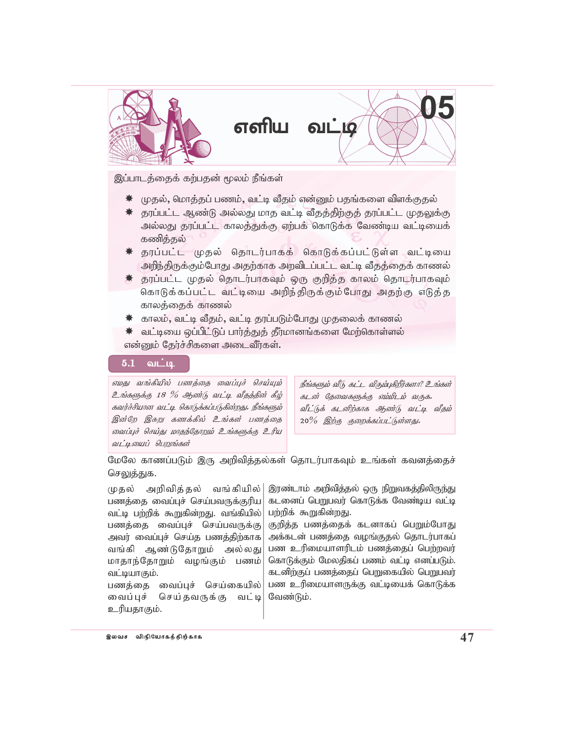

இப்பாடத்தைக் கற்பதன் மூலம் நீங்கள்

- $*$  முதல், மொத்தப் பணம், வட்டி வீதம் என்னும் பதங்களை விளக்குதல்
- $*$  தரப்பட்ட ஆண்டு அல்லது மாத வட்டி வீதத்திற்குத் தரப்பட்ட முதலுக்கு அல்லது தரப்பட்ட காலத்துக்கு ஏற்பக் கொடுக்க வேண்டிய வட்டியைக் கணித்தல்
- \* தரப்பட்ட முதல் தொடர்பாகக் கொடுக்கப்பட்டுள்ள வட்டியை அறிந்திருக்கும்போது அதற்காக அறவிடப்பட்ட வட்டி வீதத்தைக் காணல்
- $\,$  தரப்பட்ட முதல் தொடர்பாகவும் ஒரு குறித்த காலம் தொடர்பாகவும் கொடுக்கப்பட்ட வட்டியை அறிந்திருக்கும்போது அதற்கு எடுத்த காலத்தைக் காணல்
- $\,$ ் காலம், வட்டி வீதம், வட்டி தரப்படும்போது முதலைக் காணல்
- $*$  வட்டியை ஒப்பிட்டுப் பார்த்துத் தீர்மானங்களை மேற்கொள்ளல் என்னும் தேர்ச்சிகளை அடைவீர்கள்.

## $5.1$  வட்டி

எமது வங்கீயில் பணத்தை வைப்புச் செய்யும்  $2$ ங்களுக்கு 18 % ஆண்டு வட்டி வீதத்தின் கீழ் கவர்ச்சியான வட்டி கொடுக்கப்படுகின்றது. நீங்களும் இன்றே இசுறு கணக்கில் உங்கள் பணத்தை வைப்புச் செய்து மாதந்தோறும் உங்களுக்கு உரிய வட்டியைப் பெறுங்கள்

 $\mathit{B\ddot{\iota}}$ க்களும் வீடு, கூட்ட விரும்புகிறீர்களா? உங்கள் கடன் தேவைகளுக்கு ஏம்மிடம் வருக. வீட்டுக் கடனிற்காக ஆண்டு வட்டி வீதம் 20% இற்கு குறைக்கப்பட்டுள்ளது.

மேலே காணப்படும் இரு அறிவித்தல்கள் தொடர்பாகவும் உங்கள் கவனத்தைச் செலுத்துக.

முதல் அறிவித்தல் வங்கியில்| பணத்தை வைப்புச் செய்பவருக்குரிய வட்டி பற்றிக் கூறுகின்றது. வங்கியில் $|$ பணத்தை வைப்புச் செய்பவருக்கு அவர் வைப்புச் செய்த பணத்திற்காக வங்கி ஆண்டுதோறும் அல்லது மாதாந்தோறும் வழங்கும் பணம் வட்டியாகும்.

பணத்தை வைப்புச் செய்கையில் வைப்புச் செய்தவருக்கு வட்டி உரியதாகும்.

இரண்டாம் அறிவித்தல் ஒரு நிறுவகத்திலிருந்து கடனைப் பெறுபவர் கொடுக்க வேண்டிய வட்டி பற்றிக் கூறுகின்றது.

குறித்த பணத்தைக் கடனாகப் பெறும்போது அக்கடன் பணத்தை வழங்குதல் தொடர்பாகப் பண உரிமையாளரிடம் பணத்தைப் பெற்றவர் கொடுக்கும் மேலதிகப் பணம் வட்டி எனப்படும். கடனிற்குப் பணத்தைப் பெறுகையில் பெறுபவர் பண உரிமையாளருக்கு வட்டியைக் கொடுக்க வேண்டும்.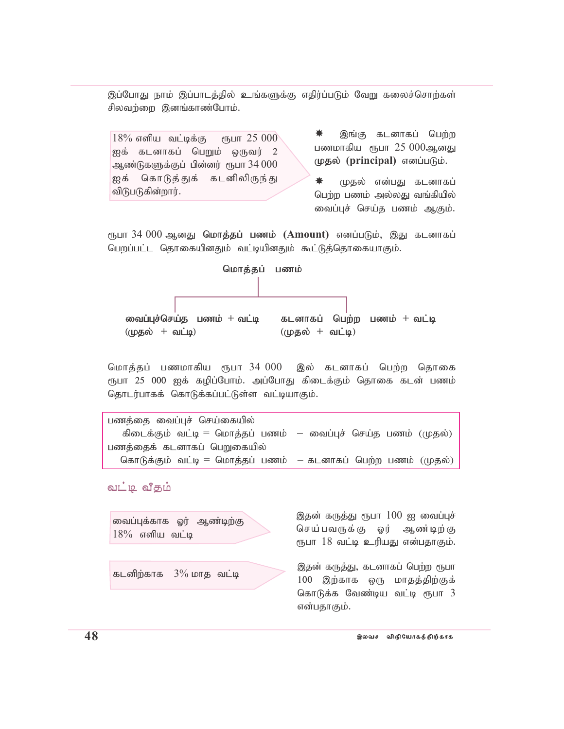இப்போது நாம் இப்பாடத்தில் உங்களுக்கு எதிர்ப்படும் வேறு கலைச்சொற்கள் சிலவற்றை இனங்காண்போம்.

 $18\%$  எளிய வட்டிக்கு ரூபா  $25\;000$ ஐக் கடனாகப் பெறும் ஒருவர்  $2$ ஆண்டுகளுக்குப் பின்னர் ரூபா $34\,000$ ஐக் கொடுத்துக் கடனிலிருந்து விடுபடுகின்றார்.

இங்கு கடனாகப் பெற்ற பணமாகிய $\epsilon$ ருபா  $25\ 000$ ஆனது முதல் (principal) எனப்படும்.

<del>\*</del> முதல் என்பது கடனாகப் பெற்ற பணம் அல்லது வங்கியில் வைப்புச் செய்த பணம் ஆகும்.

ரூபா 34 000 ஆனது **மொத்தப் பணம் (Amount)** எனப்படும், இது கடனாகப் பெறப்பட்ட தொகையினதும் வட்டியினதும் கூட்டுத்தொகையாகும்.



மொத்தப் பணமாகிய ரூபா 34 000 இல் கடனாகப் பெற்ற தொகை ரூபா 25 000 ஐக் கழிப்போம். அப்போது கிடைக்கும் தொகை கடன் பணம் தொடர்பாகக் கொடுக்கப்பட்டுள்ள வட்டியாகும்.

```
பணத்தை வைப்புச் செய்கையில்
கிடைக்கும் வட்டி = மொத்தப் பணம்  — வைப்புச் செய்த பணம் (முதல்)பணத்தைக் கடனாகப் பெறுகையில்
கொடுக்கும் வட்டி = மொத்தப் பணம்  — கடனாகப் பெற்ற பணம் (முதல்)
```
வட்டி வீதம்

வைப்புக்காக ஓர் ஆண்டிற்கு  $18\%$  எளிய வட்டி

கடனிற்காக  $3\%$  மாத வட்டி

இதன் கருத்து ரூபா  $100$  ஐ வைப்புச் செய்பவருக்கு ஓர் ஆண்டிற்கு ரூபா 18 வட்டி உரியது என்பதாகும்.

இதன் கருத்து, கடனாகப் பெற்ற ரூபா  $100$  இற்காக ஒரு மாதத்திற்குக் கொடுக்க வேண்டிய வட்டி ரூபா  $3$ என்பதாகும்.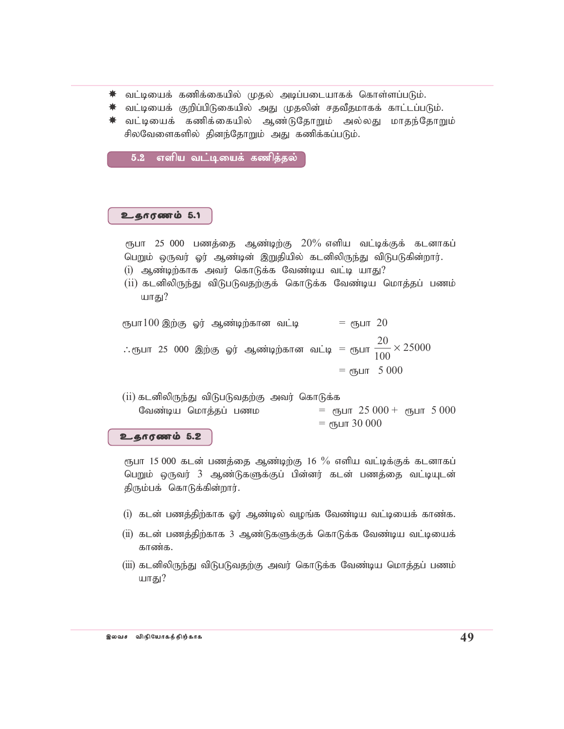- $\,$ ்வட்டியைக் கணிக்கையில் முதல் அடிப்படையாகக் கொள்ளப்படும்.
- $*$  வட்டியைக் குறிப்பிடுகையில் அது முதலின் சதவீதமாகக் காட்டப்படும்.
- $\,$ ்வட்டியைக் கணிக்கையில் ஆண்டுதோறும் அல்லது மாதந்தோறும் சிலவேளைகளில் தினந்தோறும் அது கணிக்கப்படும்.

5.2 எளிய வட்டியைக் கணிக்கல்

## $2.60000005$ .

- ரூபா 25 000 பணத்தை ஆண்டிற்கு  $20\%$  எளிய வட்டிக்குக் கடனாகப் பெறும் ஒருவர் ஓர் ஆண்டின் இறுதியில் கடனிலிருந்து விடுபடுகின்றார்.
- $(i)$  ஆண்டிற்காக அவர் கொடுக்க வேண்டிய வட்டி யாது?
- $(ii)$  கடனிலிருந்து விடுபடுவதற்குக் கொடுக்க வேண்டிய மொத்தப் பணம் யாகு $?$

ரூபா $100$  இற்கு ஓர் ஆண்டிற்கான வட்டி $\hskip 1.0cm =$  ரூபா  $20$ ∴ரூபா 25 000 இற்கு ஓர் ஆண்டிற்கான வட்டி = ரூபா  $\frac{20}{100}$   $\times$ 20 100 25000  $=$  еђшт 5 000

(ii) கடனிலிருந்து விடுபடுவதற்கு அவர் கொடுக்க வேண்டிய மொத்தப் பணம ரூபா 25 000 + ரூபா 5 000  $=$  еҧшт 30 000

## உதாரணம் 5.2

ரூபா  $15\,000$  கடன் பணத்தை ஆண்டிற்கு  $16\,\,\%$  எளிய வட்டிக்குக் கடனாகப் பெறும் ஒருவர் 3 ஆண்டுகளுக்குப் பின்னர் கடன் பணத்தை வட்டியுடன் திரும்பக் கொடுக்கின்றார்.

- $(i)$  கடன் பணத்திற்காக ஓர் ஆண்டில் வழங்க வேண்டிய வட்டியைக் காண்க.
- $(i$ i) கடன் பணத்திற்காக 3 ஆண்டுகளுக்குக் கொடுக்க வேண்டிய வட்டியைக் காண்க.
- (iii) கடனிலிருந்து விடுபடுவதற்கு அவர் கொடுக்க வேண்டிய மொத்தப் பணம் யாகு $?$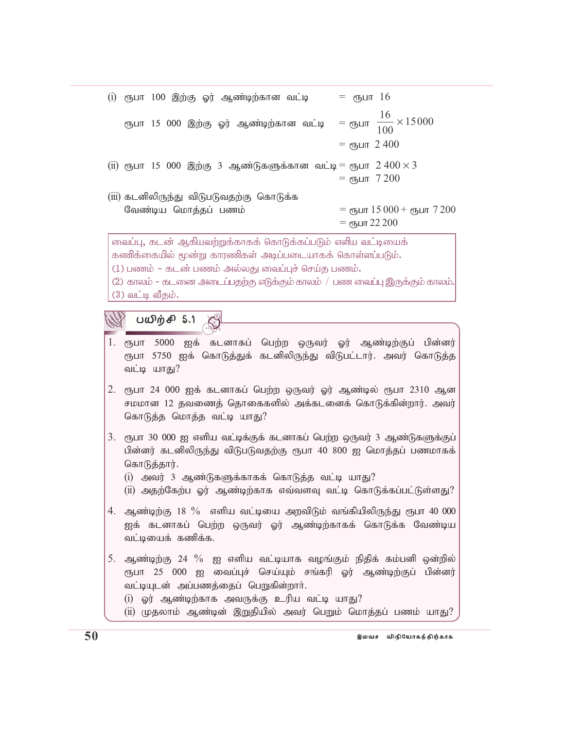| ரூபா 15 000 இற்கு ஓர் ஆண்டிற்கான வட்டி   = ரூபா $\frac{16}{100} \times 15000$<br>= $\epsilon$ пъцп 2400<br>(ii) ரூபா 15 000 இற்கு 3 ஆண்டுகளுக்கான வட்டி = ரூபா $2\,400 \times 3$<br>= $\epsilon$ љит 7200<br>(iii) கடனிலிருந்து விடுபடுவதற்கு கொடுக்க<br>= $\epsilon$ пушт 15 000 + $\epsilon$ пушт 7 200<br>வேண்டிய மொத்தப் பணம்<br>= $\epsilon$ пъцпт 22 200<br>வைப்பு, கடன் ஆகியவற்றுக்காகக் கொடுக்கப்படும் எளிய வட்டியைக்<br>கணிக்கையில் மூன்று காரணிகள் அடிப்படையாகக் கொள்ளப்படும்.<br>(1) பணம் – கடன் பணம் அல்லது வைப்புச் செய்த பணம்.<br>(2) காலம் – கடனை அடைப்பதற்கு எடுக்கும் காலம் / பண வைப்பு இருக்கும் காலம்.<br>$(3)$ வட்டி வீதம்.<br>பயிற்சி 5.1 |  |  |  |  |
|----------------------------------------------------------------------------------------------------------------------------------------------------------------------------------------------------------------------------------------------------------------------------------------------------------------------------------------------------------------------------------------------------------------------------------------------------------------------------------------------------------------------------------------------------------------------------------------------------------------------------------------------------------------|--|--|--|--|
|                                                                                                                                                                                                                                                                                                                                                                                                                                                                                                                                                                                                                                                                |  |  |  |  |
|                                                                                                                                                                                                                                                                                                                                                                                                                                                                                                                                                                                                                                                                |  |  |  |  |
|                                                                                                                                                                                                                                                                                                                                                                                                                                                                                                                                                                                                                                                                |  |  |  |  |
|                                                                                                                                                                                                                                                                                                                                                                                                                                                                                                                                                                                                                                                                |  |  |  |  |
|                                                                                                                                                                                                                                                                                                                                                                                                                                                                                                                                                                                                                                                                |  |  |  |  |
|                                                                                                                                                                                                                                                                                                                                                                                                                                                                                                                                                                                                                                                                |  |  |  |  |
|                                                                                                                                                                                                                                                                                                                                                                                                                                                                                                                                                                                                                                                                |  |  |  |  |
|                                                                                                                                                                                                                                                                                                                                                                                                                                                                                                                                                                                                                                                                |  |  |  |  |
|                                                                                                                                                                                                                                                                                                                                                                                                                                                                                                                                                                                                                                                                |  |  |  |  |
|                                                                                                                                                                                                                                                                                                                                                                                                                                                                                                                                                                                                                                                                |  |  |  |  |
|                                                                                                                                                                                                                                                                                                                                                                                                                                                                                                                                                                                                                                                                |  |  |  |  |
| 1.<br>ரூபா 5000 ஐக் கடனாகப் பெற்ற ஒருவர் ஓர் ஆண்டிற்குப் பின்னர்<br>ரூபா 5750 ஐக் கொடுத்துக் கடனிலிருந்து விடுபட்டார். அவர் கொடுத்த<br>வட்டி யாது?                                                                                                                                                                                                                                                                                                                                                                                                                                                                                                             |  |  |  |  |
| 2.<br>ரூபா 24 000 ஐக் கடனாகப் பெற்ற ஒருவர் ஓர் ஆண்டில் ரூபா 2310 ஆன<br>சமமான 12 தவணைத் தொகைகளில் அக்கடனைக் கொடுக்கின்றார். அவர்<br>கொடுத்த மொத்த வட்டி யாது?                                                                                                                                                                                                                                                                                                                                                                                                                                                                                                   |  |  |  |  |
| 3.<br>ரூபா 30 000 ஐ எளிய வட்டிக்குக் கடனாகப் பெற்ற ஒருவர் 3 ஆண்டுகளுக்குப்<br>பின்னர் கடனிலிருந்து விடுபடுவதற்கு ரூபா 40 800 ஐ மொத்தப் பணமாகக்<br>கொடுத்தார்.<br>(i) அவர் 3 ஆண்டுகளுக்காகக் கொடுத்த வட்டி யாது?                                                                                                                                                                                                                                                                                                                                                                                                                                                |  |  |  |  |
| (ii) அதற்கேற்ப ஓர் ஆண்டிற்காக எவ்வளவு வட்டி கொடுக்கப்பட்டுள்ளது?                                                                                                                                                                                                                                                                                                                                                                                                                                                                                                                                                                                               |  |  |  |  |
| $4.$ ஆண்டிற்கு $18\%$ எளிய வட்டியை அறவிடும் வங்கியிலிருந்து ரூபா $40\ 000$<br>ஐக் கடனாகப் பெற்ற ஒருவர் ஓர் ஆண்டிற்காகக் கொடுக்க வேண்டிய<br>வட்டியைக் கணிக்க.                                                                                                                                                                                                                                                                                                                                                                                                                                                                                                   |  |  |  |  |
| 5.<br>ஆண்டிற்கு 24 $\%$ ஐ எளிய வட்டியாக வழங்கும் நிதிக் கம்பனி ஒன்றில்<br>ரூபா 25 000 ஐ வைப்புச் செய்யும் சங்கரி ஓர் ஆண்டிற்குப் பின்னர்<br>வட்டியுடன் அப்பணத்தைப் பெறுகின்றார்.<br>(i) ஓர் ஆண்டிற்காக அவருக்கு உரிய வட்டி யாது?<br>(ii) முதலாம் ஆண்டின் இறுதியில் அவர் பெறும் மொத்தப் பணம் யாது?                                                                                                                                                                                                                                                                                                                                                              |  |  |  |  |
|                                                                                                                                                                                                                                                                                                                                                                                                                                                                                                                                                                                                                                                                |  |  |  |  |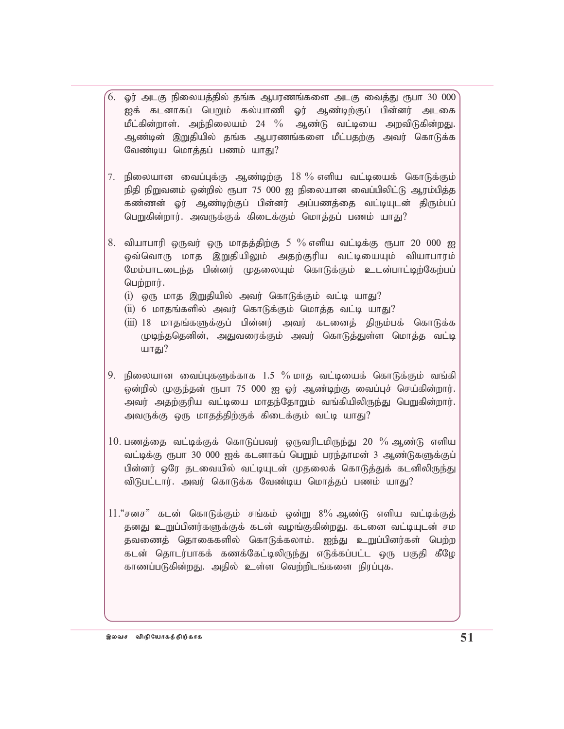- $6.$  ஓர் அடகு நிலையத்தில் தங்க ஆபரணங்களை அடகு வைத்து ரூபா 30 000 $^{\circ}$ ஐக் கடனாகப் பெறும் கல்யாணி ஓர் ஆண்டிற்குப் பின்னர் அடகை மீட்கின்றாள். அந்நிலையம் 24 % ஆண்டு வட்டியை அறவிடுகின்றது. ஆண்டின் இறுதியில் தங்க ஆபரணங்களை மீட்பதற்கு அவர் கொடுக்க வேண்டிய மொத்தப் பணம் யாது?
- 7. நிலையான வைப்புக்கு ஆண்டிற்கு  $18\ \%$  எளிய வட்டியைக் கொடுக்கும் நிதி நிறுவனம் ஒன்றில் ரூபா 75 000 ஐ நிலையான வைப்பிலிட்டு ஆரம்பித்த கண்ணன் ஓர் ஆண்டிற்குப் பின்னர் அப்பணத்தை வட்டியுடன் திரும்பப் பெறுகின்றார். அவருக்குக் கிடைக்கும் மொத்தப் பணம் யாது?
- 8. வியாபாரி ஒருவர் ஒரு மாதத்திற்கு 5 % எளிய வட்டிக்கு ரூபா 20 000 ஐ ஒவ்வொரு மாத இறுதியிலும் அதற்குரிய வட்டியையும் வியாபாரம் மேம்பாடடைந்த பின்னர் முதலையும் கொடுக்கும் உடன்பாட்டிற்கேற்பப்  $\omega$ ற்றார்.
	- $(i)$  ஒரு மாத இறுதியில் அவர் கொடுக்கும் வட்டி யாது?
	- $(ii)$  6 மாதங்களில் அவர் கொடுக்கும் மொத்த வட்டி யாது?
	- (iii) 18 மாதங்களுக்குப் பின்னர் அவர் கடனைத் திரும்பக் கொடுக்க முடிந்ததெனின், அதுவரைக்கும் அவர் கொடுத்துள்ள மொத்த வட்டி யாது $?$
- 9. நிலையான வைப்புகளுக்காக  $1.5\%$  மாத வட்டியைக் கொடுக்கும் வங்கி ஒன்றில் முகுந்தன் ரூபா 75 000 ஐ ஓர் ஆண்டிற்கு வைப்புச் செய்கின்றார். அவர் அதற்குரிய வட்டியை மாதந்தோறும் வங்கியிலிருந்து பெறுகின்றார். அவருக்கு ஒரு மாதத்திற்குக் கிடைக்கும் வட்டி யாது?
- $10$ . பணத்தை வட்டிக்குக் கொடுப்பவர் ஒருவரிடமிருந்து 20  $\%$  ஆண்டு எளிய வட்டிக்கு ரூபா 30 000 ஐக் கடனாகப் பெறும் பரந்தாமன் 3 ஆண்டுகளுக்குப் பின்னர் ஒரே தடவையில் வட்டியுடன் முதலைக் கொடுத்துக் கடனிலிருந்து விடுபட்டார். அவர் கொடுக்க வேண்டிய மொத்தப் பணம் யாது?
- $11.$ "சனச" கடன் கொடுக்கும் சங்கம் ஒன்று  $8\%$  ஆண்டு எளிய வட்டிக்குத் தனது உறுப்பினர்களுக்குக் கடன் வழங்குகின்றது. கடனை வட்டியுடன் சம தவணைத் தொகைகளில் கொடுக்கலாம். ஐந்து உறுப்பினர்கள் பெற்ற கடன் தொடர்பாகக் கணக்கேட்டிலிருந்து எடுக்கப்பட்ட ஒரு பகுதி கீழே காணப்படுகின்றது. அதில் உள்ள வெற்றிடங்களை நிரப்புக.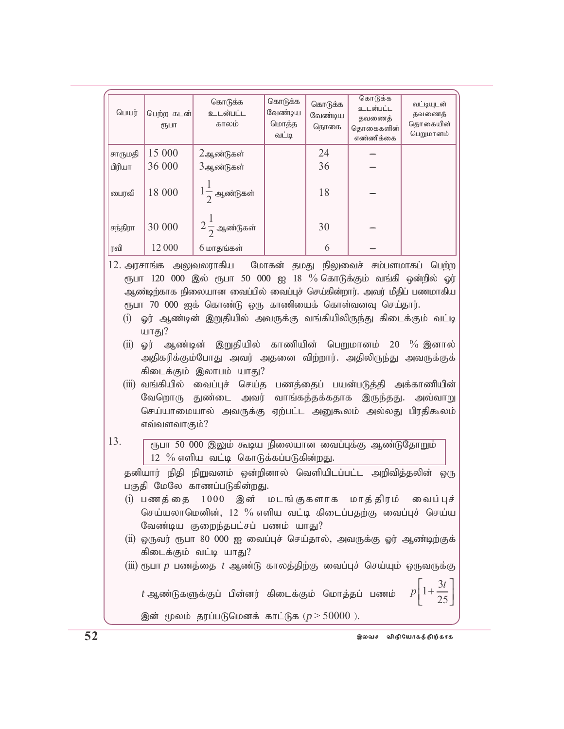| பெயர்                                                                                                                                                                                                                                                                                                                                                                                                                                                                                                                                                                                                                                                                                                                 | பெற்ற கடன்<br>(ҦШТ                                                                                                                       | கொடுக்க<br>உடன்பட்ட<br>காலம் | கொடுக்க<br>வேண்டிய<br>மொத்த<br>வட்டி | கொடுக்க<br>வேண்டிய<br>தொகை | கொடுக்க<br>உடன்பட்ட<br>தவணைத்<br>தொகைகளின்<br>எண்ணிக்கை | வட்டியுடன்<br>தவணைத்<br>தொகையின்<br>பெறுமானம் |
|-----------------------------------------------------------------------------------------------------------------------------------------------------------------------------------------------------------------------------------------------------------------------------------------------------------------------------------------------------------------------------------------------------------------------------------------------------------------------------------------------------------------------------------------------------------------------------------------------------------------------------------------------------------------------------------------------------------------------|------------------------------------------------------------------------------------------------------------------------------------------|------------------------------|--------------------------------------|----------------------------|---------------------------------------------------------|-----------------------------------------------|
| சாருமதி                                                                                                                                                                                                                                                                                                                                                                                                                                                                                                                                                                                                                                                                                                               | 15 000                                                                                                                                   | 2ஆண்டுகள்                    |                                      | 24                         |                                                         |                                               |
| பிரியா                                                                                                                                                                                                                                                                                                                                                                                                                                                                                                                                                                                                                                                                                                                | 36 000                                                                                                                                   | 3ஆண்டுகள்                    |                                      | 36                         |                                                         |                                               |
| பைரவி                                                                                                                                                                                                                                                                                                                                                                                                                                                                                                                                                                                                                                                                                                                 | 18 000                                                                                                                                   | $1\frac{1}{2}$ ஆண்டுகள்      |                                      | 18                         |                                                         |                                               |
| சந்திரா                                                                                                                                                                                                                                                                                                                                                                                                                                                                                                                                                                                                                                                                                                               | 30 000                                                                                                                                   | $2\frac{1}{2}$ ஆண்டுகள்      |                                      | 30                         |                                                         |                                               |
| ரவி                                                                                                                                                                                                                                                                                                                                                                                                                                                                                                                                                                                                                                                                                                                   | 12 000                                                                                                                                   | 6 மாதங்கள்                   |                                      | 6                          |                                                         |                                               |
| 12. அரசாங்க அலுவலராகிய மோகன் தமது நிலுவைச் சம்பளமாகப் பெற்ற<br>ரூபா 120 000 இல் ரூபா 50 000 ஐ 18 % கொடுக்கும் வங்கி ஒன்றில் ஓர்<br>ஆண்டிற்காக நிலையான வைப்பில் வைப்புச் செய்கின்றார். அவர் மீதிப் பணமாகிய<br>ரூபா 70 000 ஐக் கொண்டு ஒரு காணியைக் கொள்வனவு செய்தார்.<br>ஓர் ஆண்டின் இறுதியில் அவருக்கு வங்கியிலிருந்து கிடைக்கும் வட்டி<br>(i)<br>யாது?<br>ஓர் ஆண்டின் இறுதியில் காணியின் பெறுமானம் 20 % இனால்<br>(ii)<br>அதிகரிக்கும்போது அவர் அதனை விற்றார். அதிலிருந்து அவருக்குக்<br>கிடைக்கும் இலாபம் யாது?<br>(iii) வங்கியில் வைப்புச் செய்த பணத்தைப் பயன்படுத்தி அக்காணியின்<br>வேறொரு துண்டை அவர் வாங்கத்தக்கதாக இருந்தது. அவ்வாறு<br>செய்யாமையால் அவருக்கு ஏற்பட்ட அனுகூலம் அல்லது பிரதிகூலம்<br>எவ்வளவாகும்? |                                                                                                                                          |                              |                                      |                            |                                                         |                                               |
| 13.<br>ரூபா 50 000 இலும் கூடிய நிலையான வைப்புக்கு ஆண்டுதோறும்<br>12 $\%$ எளிய வட்டி கொடுக்கப்படுகின்றது.<br>தனியார் நிதி நிறுவனம் ஒன்றினால் வெளியிடப்பட்ட அறிவித்தலின் ஒரு<br>பகுதி மேலே காணப்படுகின்றது.<br>(i) பணத்தை 1000 இன் மடங்குகளாக மாத்திரம்<br>வைப் புச்<br>செய்யலாமெனின், 12 % எளிய வட்டி கிடைப்பதற்கு வைப்புச் செய்ய<br>வேண்டிய குறைந்தபட்சப் பணம் யாது?<br>(ii) ஒருவர் ரூபா 80 000 ஐ வைப்புச் செய்தால், அவருக்கு ஓர் ஆண்டிற்குக்<br>கிடைக்கும் வட்டி யாது?<br>(iii) ரூபா $p$ பணத்தை $t$ ஆண்டு காலத்திற்கு வைப்புச் செய்யும் ஒருவருக்கு                                                                                                                                                                   |                                                                                                                                          |                              |                                      |                            |                                                         |                                               |
|                                                                                                                                                                                                                                                                                                                                                                                                                                                                                                                                                                                                                                                                                                                       | $p\left 1+\frac{3t}{25}\right $<br>$t$ ஆண்டுகளுக்குப் பின்னர் கிடைக்கும் மொத்தப் பணம்<br>இன் மூலம் தரப்படுமெனக் காட்டுக ( $p > 50000$ ). |                              |                                      |                            |                                                         |                                               |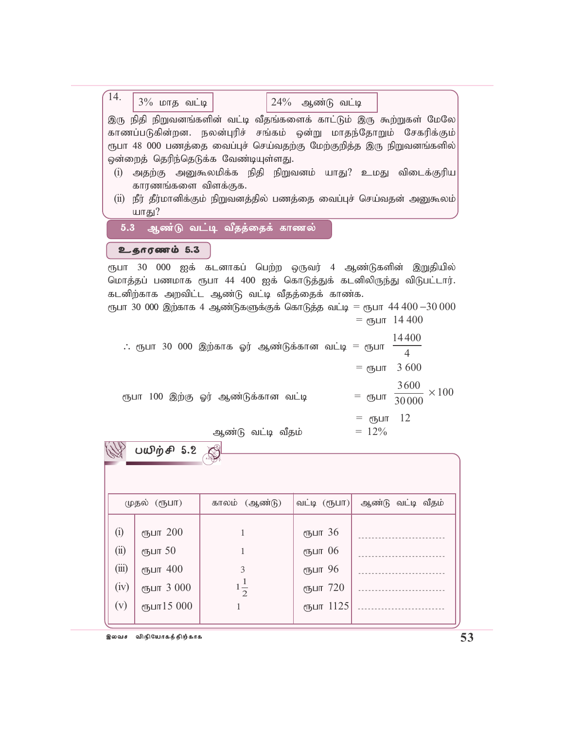| 14.<br>$3\%$ மாத வட்டி<br>$24\%$ ஆண்டு வட்டி                                  |                          |
|-------------------------------------------------------------------------------|--------------------------|
| இரு நிதி நிறுவனங்களின் வட்டி வீதங்களைக் காட்டும் இரு கூற்றுகள் மேலே           |                          |
|                                                                               |                          |
| காணப்படுகின்றன. நலன்புரிச் சங்கம் ஒன்று மாதந்தோறும் சேகரிக்கும்               |                          |
| ரூபா 48 000 பணத்தை வைப்புச் செய்வதற்கு மேற்குறித்த இரு நிறுவனங்களில்          |                          |
| ஒன்றைத் தெரிந்தெடுக்க வேண்டியுள்ளது.                                          |                          |
| அதற்கு அனுகூலமிக்க நிதி நிறுவனம் யாது? உமது விடைக்குரிய<br>(i)                |                          |
| காரணங்களை விளக்குக.                                                           |                          |
|                                                                               |                          |
| நீர் தீர்மானிக்கும் நிறுவனத்தில் பணத்தை வைப்புச் செய்வதன் அனுகூலம்<br>(ii)    |                          |
| யாது?                                                                         |                          |
| 5.3 ஆண்டு வட்டி வீதத்தைக் காணல்                                               |                          |
|                                                                               |                          |
| உதாரணம் 5.3                                                                   |                          |
| ரூபா 30 000 ஐக் கடனாகப் பெற்ற ஒருவர் 4 ஆண்டுகளின் இறுதியில்                   |                          |
| மொத்தப் பணமாக ரூபா 44 400 ஐக் கொடுத்துக் கடனிலிருந்து விடுபட்டார்.            |                          |
|                                                                               |                          |
| கடனிற்காக அறவிட்ட ஆண்டு வட்டி வீதத்தைக் காண்க.                                |                          |
| ரூபா 30 000 இற்காக 4 ஆண்டுகளுக்குக் கொடுத்த வட்டி = ரூபா $44\,400$ $-30\,000$ |                          |
|                                                                               | = сълп 14 400            |
|                                                                               | 14400                    |
| $\therefore$ ரூபா 30 000 இற்காக ஓர் ஆண்டுக்கான வட்டி = ரூபா                   |                          |
|                                                                               | 4                        |
|                                                                               | 3 600<br>$=$ ரூபா        |
|                                                                               |                          |
|                                                                               | 3600<br>$\times 100$     |
| ரூபா 100 இற்கு ஓர் ஆண்டுக்கான வட்டி                                           | = ரூபா<br>30000          |
|                                                                               |                          |
|                                                                               | 12<br>$=$ $\epsilon$ ҧபா |
| ஆண்டு வட்டி வீதம்                                                             | $= 12\%$                 |
|                                                                               |                          |
| பயிற்சி 5.2                                                                   |                          |
|                                                                               |                          |
|                                                                               |                          |
|                                                                               |                          |

| முதல் (ரூபா)                        |                                                             | காலம் (ஆண்டு)            | வட்டி (ரூபா)                                           | ஆண்டு வட்டி வீதம் |
|-------------------------------------|-------------------------------------------------------------|--------------------------|--------------------------------------------------------|-------------------|
| (i)<br>(ii)<br>(iii)<br>(iv)<br>(v) | ரூபா 200<br>ரூபா 50<br>ரூபா 400<br>ரூபா 3 000<br>ரூபா15 000 | 3<br>$1\frac{1}{2}$<br>1 | ரூபா 36<br>ரூபா 06<br>ரூபா 96<br>ரூபா 720<br>ரூபா 1125 |                   |

இலவச விநியோகத்திற்காக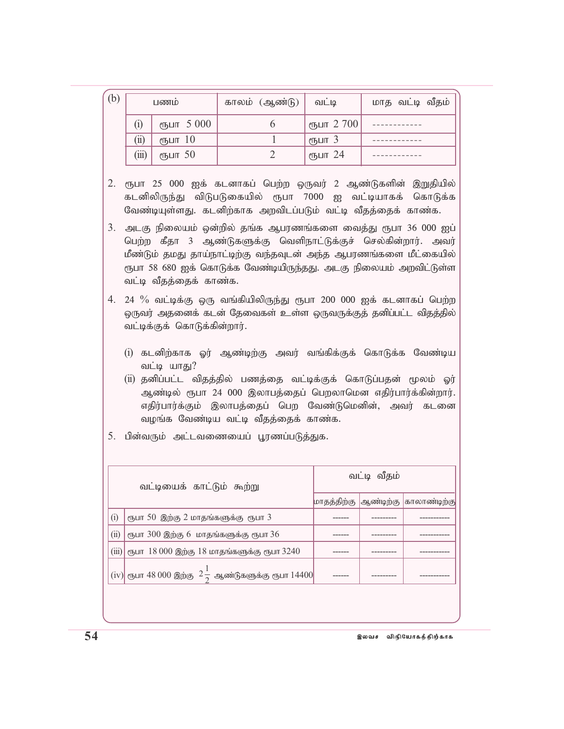| (b) | பணம்  |                     | காலம் (ஆண்டு) | வட்டி                           | மாத வட்டி வீதம் |
|-----|-------|---------------------|---------------|---------------------------------|-----------------|
|     | (i)   | ரூபா 5 000          |               | $\epsilon$ пушт 2700            |                 |
|     | (ii)  | $\epsilon$ ҧபா $10$ |               | $\epsilon$ Пъ $\mu$ п $\lambda$ |                 |
|     | (iii) | $\epsilon$ ҧபா 50   |               | $\epsilon$ гђшт 24              |                 |

- 2. ரூபா 25 000 ஐக் கடனாகப் பெற்ற ஒருவர் 2 ஆண்டுகளின் இறுதியில் கடனிலிருந்து விடுபடுகையில் ரூபா 7000 ஐ வட்டியாகக் கொடுக்க வேண்டியுள்ளது. கடனிற்காக அறவிடப்படும் வட்டி வீதத்தைக் காண்க.
- $3.$  அடகு நிலையம் ஒன்றில் தங்க ஆபரணங்களை வைத்து ரூபா  $36\,000$  ஐப் பெற்ற கீதா 3 ஆண்டுகளுக்கு வெளிநாட்டுக்குச் செல்கின்றார். அவர் மீண்டும் தமது தாய்நாட்டிற்கு வந்தவுடன் அந்த ஆபரணங்களை மீட்கையில் ரூபா 58 680 ஐக் கொடுக்க வேண்டியிருந்தது. அடகு நிலையம் அறவிட்டுள்ள வட்டி வீதத்தைக் காண்க.
- $4.$   $24$   $\%$  வட்டிக்கு ஒரு வங்கியிலிருந்து ரூபா 200 000 ஐக் கடனாகப் பெற்ற ஒருவர் அதனைக் கடன் தேவைகள் உள்ள ஒருவருக்குத் தனிப்பட்ட விதத்தில் வட்டிக்குக் கொடுக்கின்றார்.
	- (i) கடனிற்காக ஓர் ஆண்டிற்கு அவர் வங்கிக்குக் கொடுக்க வேண்டிய வட்டி யாது?
	- (ii) தனிப்பட்ட விதத்தில் பணத்தை வட்டிக்குக் கொடுப்பதன் மூலம் ஓர் ஆண்டில் ரூபா 24 000 இலாபத்தைப் பெறலாமென எதிர்பார்க்கின்றார். எதிர்பார்க்கும் இலாபத்தைப் பெற வேண்டுமெனின், அவர் கடனை வழங்க வேண்டிய வட்டி வீதத்தைக் காண்க.
- 5. பின்வரும் அட்டவணையைப் பூரணப்படுத்துக.

| வட்டியைக் காட்டும் கூற்று |                                                                               | வட்டி வீதம் |  |                                      |
|---------------------------|-------------------------------------------------------------------------------|-------------|--|--------------------------------------|
|                           |                                                                               |             |  | மாதத்திற்கு  ஆண்டிற்கு  காலாண்டிற்கு |
| (i)                       | ரூபா 50 இற்கு 2 மாதங்களுக்கு ரூபா 3                                           |             |  |                                      |
| (ii)                      | ரூபா $300$ இற்கு 6 மாதங்களுக்கு ரூபா $36$                                     |             |  |                                      |
| (iii)                     | ரூபா 18 000 இற்கு 18 மாதங்களுக்கு ரூபா 3240                                   |             |  |                                      |
|                           | $\vert$ (iv) $\vert$ ரூபா 48 000 இற்கு $2\frac{1}{2}$ ஆண்டுகளுக்கு ரூபா 14400 |             |  |                                      |
|                           |                                                                               |             |  |                                      |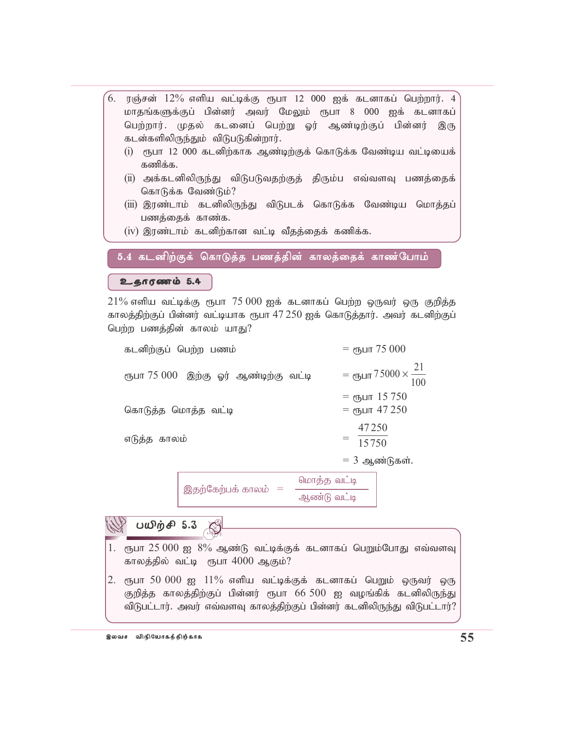- $6.$  ரஞ்சன்  $12\%$  எளிய வட்டிக்கு ரூபா  $12$  000 ஐக் கடனாகப் பெற்றார். 4 மாதங்களுக்குப் பின்னர் அவர் மேலும் ரூபா 8 000 ஐக் கடனாகப் பெற்றார். முதல் கடனைப் பெற்று ஓர் ஆண்டிற்குப் பின்னர் இரு கடன்களிலிருந்தும் விடுபடுகின்றார்.  $(i)$  ரூபா 12 000 கடனிற்காக ஆண்டிற்குக் கொடுக்க வேண்டிய வட்டியைக் கணிக்க.
	- (ii) அக்கடனிலிருந்து விடுபடுவதற்குத் திரும்ப எவ்வளவு பணத்தைக் கொடுக்க வேண்டும்?
	- (iii) இரண்டாம் கடனிலிருந்து விடுபடக் கொடுக்க வேண்டிய மொத்தப் பணத்தைக் காண்க.
	- $(iv)$  இரண்டாம் கடனிற்கான வட்டி வீதத்தைக் கணிக்க.

5.4 கடனிற்குக் கொடுத்த பணத்தின் காலத்தைக் காண்போம்

 $2.60$ 

 $21\%$  எளிய வட்டிக்கு ரூபா  $75\,000$  ஐக் கடனாகப் பெற்ற ஒருவர் ஒரு குறித்த காலத்திற்குப் பின்னர் வட்டியாக ரூபா  $47\,250$  ஐக் கொடுத்தார். அவர் கடனிற்குப் பெற்ற பணத்தின் காலம் யாது?

| கடனிற்குப் பெற்ற பணம்                 | = $\epsilon$ пушт 75 000                              |
|---------------------------------------|-------------------------------------------------------|
| ரூபா 75 000 இற்கு ஓர் ஆண்டிற்கு வட்டி | = ரூபா $75000 \times \frac{21}{100}$                  |
| கொடுத்த மொத்த வட்டி                   | = <sub>С</sub> пушт 15 750<br>= $\epsilon$ љит 47 250 |
| எடுத்த காலம்                          | 47250<br>$=$ $\frac{15750}{ }$                        |
|                                       | $=$ 3 ஆண்டுகள்.                                       |

இதற்கேற்பக் காலம்  $=$ மொத்த வட்டி ஆண்டு வட்டி

 $\mathbb{W}$  பயிற்சி 5.3 1. ரூபா 25 000 ஐ  $8\%$  ஆண்டு வட்டிக்குக் கடனாகப் பெறும்போது எவ்வளவு காலத்தில் வட்டி ரூபா  $4000$  ஆகும்? 2. ரூபா 50 000 ஐ  $11\%$  எளிய வட்டிக்குக் கடனாகப் பெறும் ஒருவர் ஒரு குறித்த காலத்திற்குப் பின்னர் ரூபா  $66\,500$  ஐ வழங்கிக் கடனிலிருந்து விடுபட்டார். அவர் எவ்வளவு காலத்திற்குப் பின்னர் கடனிலிருந்து விடுபட்டார்?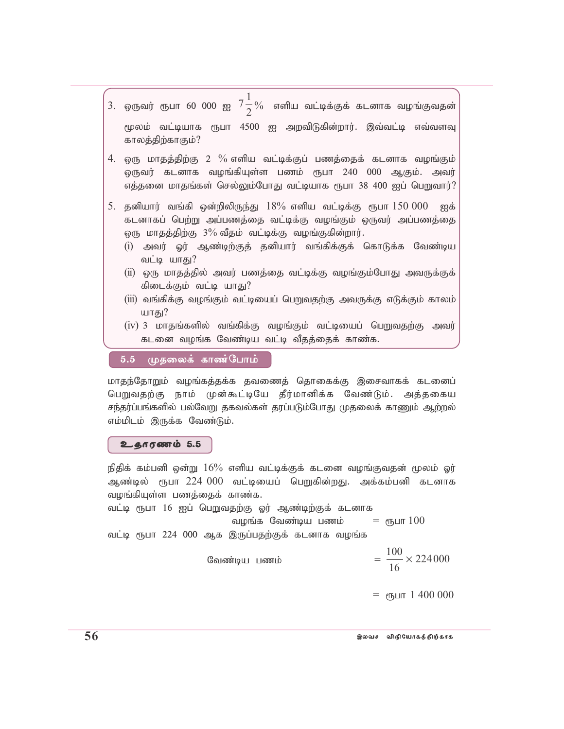- .<br>3. ஒருவர் ரூபா 60 000 ஐ  $7\frac{1}{2}$  $\frac{1}{2}$ % எளிய வட்டிக்குக் கடனாக வழங்குவதன் மூலம் வட்டியாக ரூபா 4500 ஐ அறவிடுகின்றார். இவ்வட்டி எவ்வளவு காலத்திற்காகும்?
- $4.$  ஒரு மாதத்திற்கு  $2\%$  எளிய வட்டிக்குப் பணத்தைக் கடனாக வழங்கும் ஒருவர் கடனாக வழங்கியுள்ள பணம் ரூபா 240 000 ஆகும். அவர் எத்தனை மாதங்கள் செல்லும்போது வட்டியாக ரூபா 38 400 ஐப் பெறுவார்?
- 5. தனியார் வங்கி ஒன்றிலிருந்து  $18\%$  எளிய வட்டிக்கு ரூபா $150\,000$  ஐக் கடனாகப் பெற்று அப்பணத்தை வட்டிக்கு வழங்கும் ஒருவர் அப்பணத்தை ஒரு மாதத்திற்கு  $3\%$  வீதம் வட்டிக்கு வழங்குகின்றார்.
	- (i) அவர் ஓர் ஆண்டிற்குத் தனியார் வங்கிக்குக் கொடுக்க வேண்டிய வட்டி யாகு?
	- $(i)$  ஒரு மாதத்தில் அவர் பணத்தை வட்டிக்கு வழங்கும்போது அவருக்குக் கிடைக்கும் வட்டி யாது?
	- (iii) வங்கிக்கு வழங்கும் வட்டியைப் பெறுவதற்கு அவருக்கு எடுக்கும் காலம் யாகு $?$
	- $(iv)$  3 மாதங்களில் வங்கிக்கு வழங்கும் வட்டியைப் பெறுவதற்கு அவர் கடனை வழங்க வேண்டிய வட்டி வீதத்தைக் காண்க.

5.5 முதலைக் காண்போம்

மாதந்தோறும் வமங்கத்தக்க தவணைத் தொகைக்கு இசைவாகக் கடனைப் பெறுவதற்கு நாம் முன்கூட்டியே தீர்மானிக்க வேண்டும். அத்தகைய சந்தர்ப்பங்களில் பல்வேறு தகவல்கள் தரப்படும்போது முதலைக் காணும் ஆற்றல் எம்மிடம் இருக்க வேண்டும்.

 $2.5<sub>6</sub>$ 

நிதிக் கம்பனி ஒன்று  $16\%$  எளிய வட்டிக்குக் கடனை வழங்குவதன் மூலம் ஓர் ஆண்டில் ரூபா 224 000 வட்டியைப் பெறுகின்றது. அக்கம்பனி கடனாக வழங்கியுள்ள பணத்தைக் காண்க.

வட்டி ரூபா 16 ஐப் பெறுவதற்கு ஓர் ஆண்டிற்குக் கடனாக வழங்க வேண்டிய பணம்  $\qquad$  = ரூபா  $100$ வட்டி ரூபா 224 000 ஆக இருப்பதற்குக் கடனாக வழங்க

$$
= \frac{100}{16} \times 224000
$$

= ரூபா  $1,400,000$